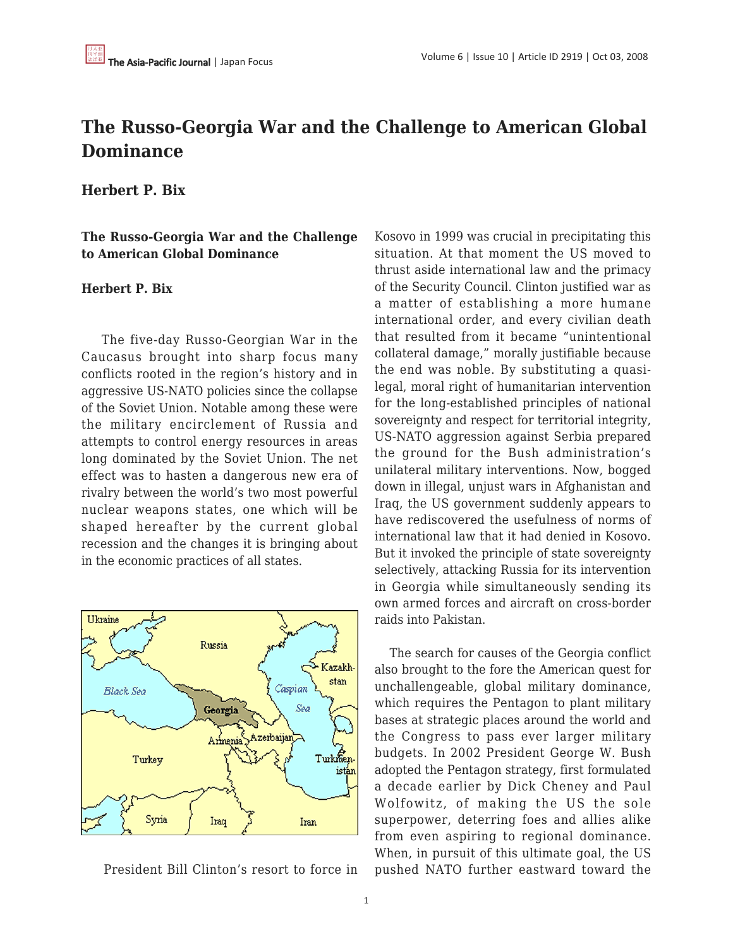# **The Russo-Georgia War and the Challenge to American Global Dominance**

**Herbert P. Bix**

**The Russo-Georgia War and the Challenge to American Global Dominance**

#### **Herbert P. Bix**

 The five-day Russo-Georgian War in the Caucasus brought into sharp focus many conflicts rooted in the region's history and in aggressive US-NATO policies since the collapse of the Soviet Union. Notable among these were the military encirclement of Russia and attempts to control energy resources in areas long dominated by the Soviet Union. The net effect was to hasten a dangerous new era of rivalry between the world's two most powerful nuclear weapons states, one which will be shaped hereafter by the current global recession and the changes it is bringing about in the economic practices of all states.



President Bill Clinton's resort to force in

Kosovo in 1999 was crucial in precipitating this situation. At that moment the US moved to thrust aside international law and the primacy of the Security Council. Clinton justified war as a matter of establishing a more humane international order, and every civilian death that resulted from it became "unintentional collateral damage," morally justifiable because the end was noble. By substituting a quasilegal, moral right of humanitarian intervention for the long-established principles of national sovereignty and respect for territorial integrity, US-NATO aggression against Serbia prepared the ground for the Bush administration's unilateral military interventions. Now, bogged down in illegal, unjust wars in Afghanistan and Iraq, the US government suddenly appears to have rediscovered the usefulness of norms of international law that it had denied in Kosovo. But it invoked the principle of state sovereignty selectively, attacking Russia for its intervention in Georgia while simultaneously sending its own armed forces and aircraft on cross-border raids into Pakistan.

 The search for causes of the Georgia conflict also brought to the fore the American quest for unchallengeable, global military dominance, which requires the Pentagon to plant military bases at strategic places around the world and the Congress to pass ever larger military budgets. In 2002 President George W. Bush adopted the Pentagon strategy, first formulated a decade earlier by Dick Cheney and Paul Wolfowitz, of making the US the sole superpower, deterring foes and allies alike from even aspiring to regional dominance. When, in pursuit of this ultimate goal, the US pushed NATO further eastward toward the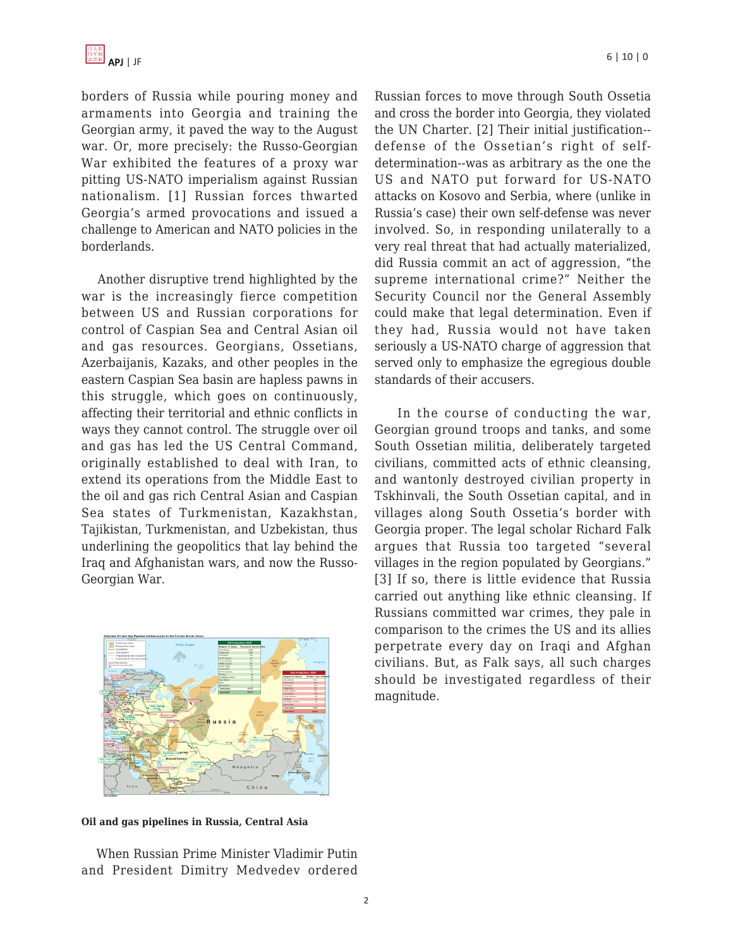borders of Russia while pouring money and armaments into Georgia and training the Georgian army, it paved the way to the August war. Or, more precisely: the Russo-Georgian War exhibited the features of a proxy war pitting US-NATO imperialism against Russian nationalism. [1] Russian forces thwarted Georgia's armed provocations and issued a challenge to American and NATO policies in the borderlands.

 Another disruptive trend highlighted by the war is the increasingly fierce competition between US and Russian corporations for control of Caspian Sea and Central Asian oil and gas resources. Georgians, Ossetians, Azerbaijanis, Kazaks, and other peoples in the eastern Caspian Sea basin are hapless pawns in this struggle, which goes on continuously, affecting their territorial and ethnic conflicts in ways they cannot control. The struggle over oil and gas has led the US Central Command, originally established to deal with Iran, to extend its operations from the Middle East to the oil and gas rich Central Asian and Caspian Sea states of Turkmenistan, Kazakhstan, Tajikistan, Turkmenistan, and Uzbekistan, thus underlining the geopolitics that lay behind the Iraq and Afghanistan wars, and now the Russo-Georgian War.



Russian forces to move through South Ossetia and cross the border into Georgia, they violated the UN Charter. [2] Their initial justification- defense of the Ossetian's right of selfdetermination--was as arbitrary as the one the US and NATO put forward for US-NATO attacks on Kosovo and Serbia, where (unlike in Russia's case) their own self-defense was never involved. So, in responding unilaterally to a very real threat that had actually materialized, did Russia commit an act of aggression, "the supreme international crime?" Neither the Security Council nor the General Assembly could make that legal determination. Even if they had, Russia would not have taken seriously a US-NATO charge of aggression that served only to emphasize the egregious double standards of their accusers.

 In the course of conducting the war, Georgian ground troops and tanks, and some South Ossetian militia, deliberately targeted civilians, committed acts of ethnic cleansing, and wantonly destroyed civilian property in Tskhinvali, the South Ossetian capital, and in villages along South Ossetia's border with Georgia proper. The legal scholar Richard Falk argues that Russia too targeted "several villages in the region populated by Georgians." [3] If so, there is little evidence that Russia carried out anything like ethnic cleansing. If Russians committed war crimes, they pale in comparison to the crimes the US and its allies perpetrate every day on Iraqi and Afghan civilians. But, as Falk says, all such charges should be investigated regardless of their magnitude.

**Oil and gas pipelines in Russia, Central Asia**

 When Russian Prime Minister Vladimir Putin and President Dimitry Medvedev ordered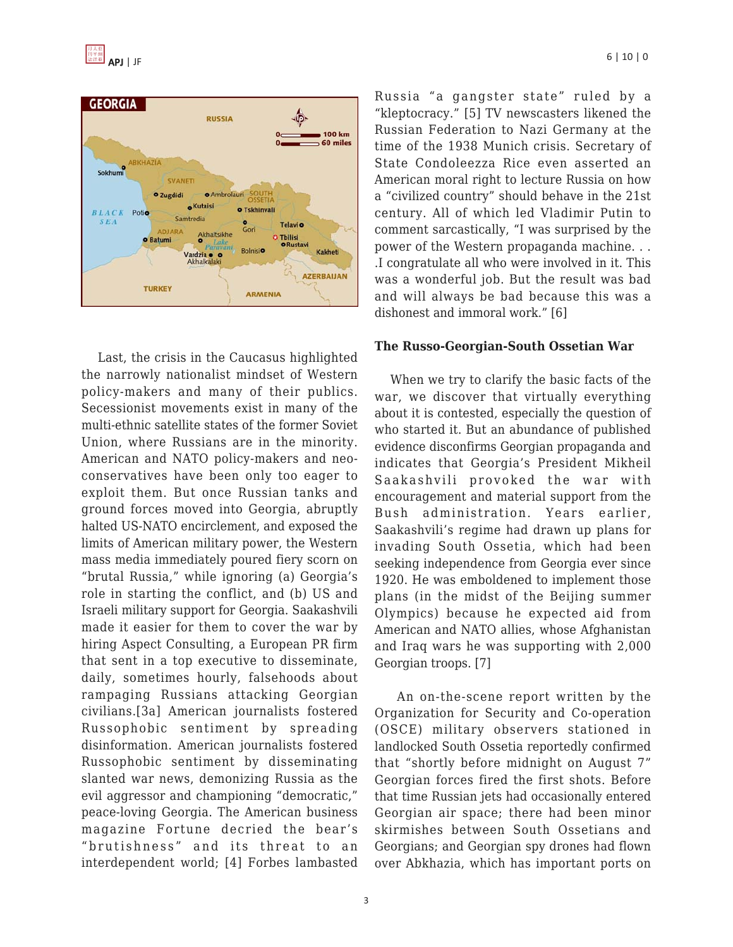

 Last, the crisis in the Caucasus highlighted the narrowly nationalist mindset of Western policy-makers and many of their publics. Secessionist movements exist in many of the multi-ethnic satellite states of the former Soviet Union, where Russians are in the minority. American and NATO policy-makers and neoconservatives have been only too eager to exploit them. But once Russian tanks and ground forces moved into Georgia, abruptly halted US-NATO encirclement, and exposed the limits of American military power, the Western mass media immediately poured fiery scorn on "brutal Russia," while ignoring (a) Georgia's role in starting the conflict, and (b) US and Israeli military support for Georgia. Saakashvili made it easier for them to cover the war by hiring Aspect Consulting, a European PR firm that sent in a top executive to disseminate, daily, sometimes hourly, falsehoods about rampaging Russians attacking Georgian civilians.[3a] American journalists fostered Russophobic sentiment by spreading disinformation. American journalists fostered Russophobic sentiment by disseminating slanted war news, demonizing Russia as the evil aggressor and championing "democratic," peace-loving Georgia. The American business magazine Fortune decried the bear's "brutishness" and its threat to an interdependent world; [4] Forbes lambasted Russia "a gangster state" ruled by a "kleptocracy." [5] TV newscasters likened the Russian Federation to Nazi Germany at the time of the 1938 Munich crisis. Secretary of State Condoleezza Rice even asserted an American moral right to lecture Russia on how a "civilized country" should behave in the 21st century. All of which led Vladimir Putin to comment sarcastically, "I was surprised by the power of the Western propaganda machine. . . .I congratulate all who were involved in it. This was a wonderful job. But the result was bad and will always be bad because this was a dishonest and immoral work." [6]

#### **The Russo-Georgian-South Ossetian War**

 When we try to clarify the basic facts of the war, we discover that virtually everything about it is contested, especially the question of who started it. But an abundance of published evidence disconfirms Georgian propaganda and indicates that Georgia's President Mikheil Saakashvili provoked the war with encouragement and material support from the Bush administration. Years earlier, Saakashvili's regime had drawn up plans for invading South Ossetia, which had been seeking independence from Georgia ever since 1920. He was emboldened to implement those plans (in the midst of the Beijing summer Olympics) because he expected aid from American and NATO allies, whose Afghanistan and Iraq wars he was supporting with 2,000 Georgian troops. [7]

 An on-the-scene report written by the Organization for Security and Co-operation (OSCE) military observers stationed in landlocked South Ossetia reportedly confirmed that "shortly before midnight on August 7" Georgian forces fired the first shots. Before that time Russian jets had occasionally entered Georgian air space; there had been minor skirmishes between South Ossetians and Georgians; and Georgian spy drones had flown over Abkhazia, which has important ports on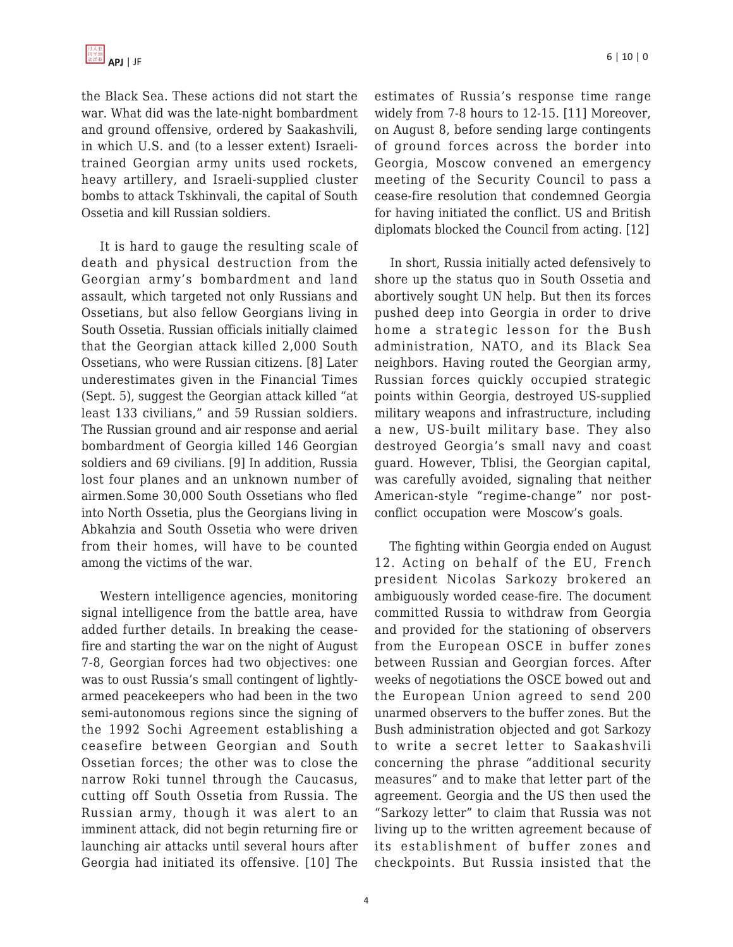the Black Sea. These actions did not start the war. What did was the late-night bombardment and ground offensive, ordered by Saakashvili, in which U.S. and (to a lesser extent) Israelitrained Georgian army units used rockets, heavy artillery, and Israeli-supplied cluster bombs to attack Tskhinvali, the capital of South Ossetia and kill Russian soldiers.

 It is hard to gauge the resulting scale of death and physical destruction from the Georgian army's bombardment and land assault, which targeted not only Russians and Ossetians, but also fellow Georgians living in South Ossetia. Russian officials initially claimed that the Georgian attack killed 2,000 South Ossetians, who were Russian citizens. [8] Later underestimates given in the Financial Times (Sept. 5), suggest the Georgian attack killed "at least 133 civilians," and 59 Russian soldiers. The Russian ground and air response and aerial bombardment of Georgia killed 146 Georgian soldiers and 69 civilians. [9] In addition, Russia lost four planes and an unknown number of airmen.Some 30,000 South Ossetians who fled into North Ossetia, plus the Georgians living in Abkahzia and South Ossetia who were driven from their homes, will have to be counted among the victims of the war.

 Western intelligence agencies, monitoring signal intelligence from the battle area, have added further details. In breaking the ceasefire and starting the war on the night of August 7-8, Georgian forces had two objectives: one was to oust Russia's small contingent of lightlyarmed peacekeepers who had been in the two semi-autonomous regions since the signing of the 1992 Sochi Agreement establishing a ceasefire between Georgian and South Ossetian forces; the other was to close the narrow Roki tunnel through the Caucasus, cutting off South Ossetia from Russia. The Russian army, though it was alert to an imminent attack, did not begin returning fire or launching air attacks until several hours after Georgia had initiated its offensive. [10] The

estimates of Russia's response time range widely from 7-8 hours to 12-15. [11] Moreover, on August 8, before sending large contingents of ground forces across the border into Georgia, Moscow convened an emergency meeting of the Security Council to pass a cease-fire resolution that condemned Georgia for having initiated the conflict. US and British diplomats blocked the Council from acting. [12]

 In short, Russia initially acted defensively to shore up the status quo in South Ossetia and abortively sought UN help. But then its forces pushed deep into Georgia in order to drive home a strategic lesson for the Bush administration, NATO, and its Black Sea neighbors. Having routed the Georgian army, Russian forces quickly occupied strategic points within Georgia, destroyed US-supplied military weapons and infrastructure, including a new, US-built military base. They also destroyed Georgia's small navy and coast guard. However, Tblisi, the Georgian capital, was carefully avoided, signaling that neither American-style "regime-change" nor postconflict occupation were Moscow's goals.

 The fighting within Georgia ended on August 12. Acting on behalf of the EU, French president Nicolas Sarkozy brokered an ambiguously worded cease-fire. The document committed Russia to withdraw from Georgia and provided for the stationing of observers from the European OSCE in buffer zones between Russian and Georgian forces. After weeks of negotiations the OSCE bowed out and the European Union agreed to send 200 unarmed observers to the buffer zones. But the Bush administration objected and got Sarkozy to write a secret letter to Saakashvili concerning the phrase "additional security measures" and to make that letter part of the agreement. Georgia and the US then used the "Sarkozy letter" to claim that Russia was not living up to the written agreement because of its establishment of buffer zones and checkpoints. But Russia insisted that the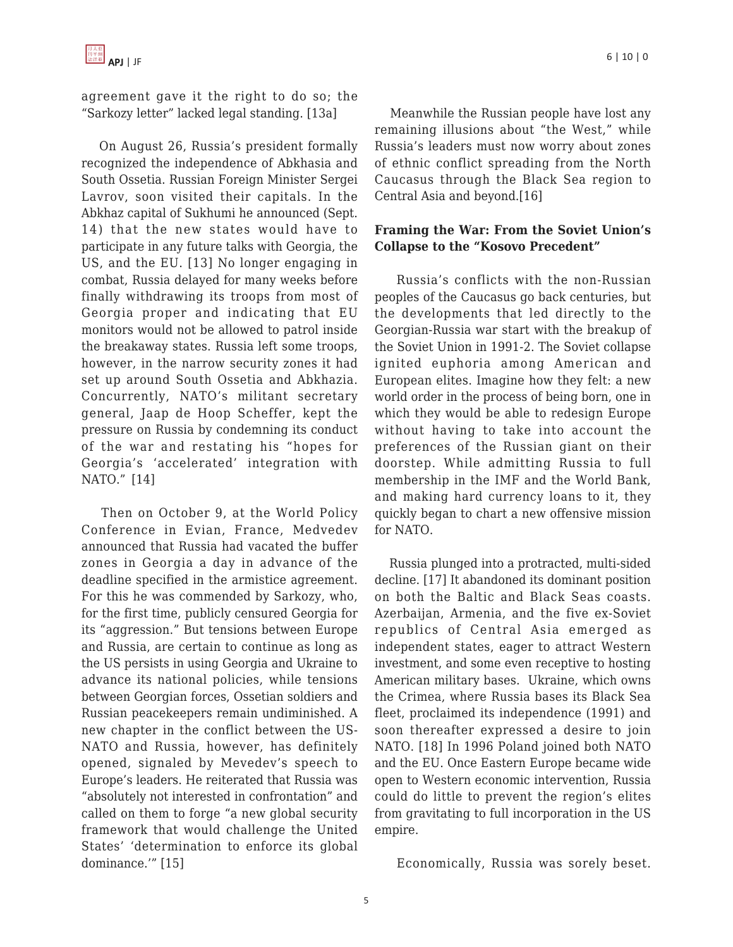agreement gave it the right to do so; the "Sarkozy letter" lacked legal standing. [13a]

 On August 26, Russia's president formally recognized the independence of Abkhasia and South Ossetia. Russian Foreign Minister Sergei Lavrov, soon visited their capitals. In the Abkhaz capital of Sukhumi he announced (Sept. 14) that the new states would have to participate in any future talks with Georgia, the US, and the EU. [13] No longer engaging in combat, Russia delayed for many weeks before finally withdrawing its troops from most of Georgia proper and indicating that EU monitors would not be allowed to patrol inside the breakaway states. Russia left some troops, however, in the narrow security zones it had set up around South Ossetia and Abkhazia. Concurrently, NATO's militant secretary general, Jaap de Hoop Scheffer, kept the pressure on Russia by condemning its conduct of the war and restating his "hopes for Georgia's 'accelerated' integration with NATO." [14]

 Then on October 9, at the World Policy Conference in Evian, France, Medvedev announced that Russia had vacated the buffer zones in Georgia a day in advance of the deadline specified in the armistice agreement. For this he was commended by Sarkozy, who, for the first time, publicly censured Georgia for its "aggression." But tensions between Europe and Russia, are certain to continue as long as the US persists in using Georgia and Ukraine to advance its national policies, while tensions between Georgian forces, Ossetian soldiers and Russian peacekeepers remain undiminished. A new chapter in the conflict between the US-NATO and Russia, however, has definitely opened, signaled by Mevedev's speech to Europe's leaders. He reiterated that Russia was "absolutely not interested in confrontation" and called on them to forge "a new global security framework that would challenge the United States' 'determination to enforce its global dominance.'" [15]

 Meanwhile the Russian people have lost any remaining illusions about "the West," while Russia's leaders must now worry about zones of ethnic conflict spreading from the North Caucasus through the Black Sea region to Central Asia and beyond.[16]

#### **Framing the War: From the Soviet Union's Collapse to the "Kosovo Precedent"**

 Russia's conflicts with the non-Russian peoples of the Caucasus go back centuries, but the developments that led directly to the Georgian-Russia war start with the breakup of the Soviet Union in 1991-2. The Soviet collapse ignited euphoria among American and European elites. Imagine how they felt: a new world order in the process of being born, one in which they would be able to redesign Europe without having to take into account the preferences of the Russian giant on their doorstep. While admitting Russia to full membership in the IMF and the World Bank, and making hard currency loans to it, they quickly began to chart a new offensive mission for NATO.

 Russia plunged into a protracted, multi-sided decline. [17] It abandoned its dominant position on both the Baltic and Black Seas coasts. Azerbaijan, Armenia, and the five ex-Soviet republics of Central Asia emerged as independent states, eager to attract Western investment, and some even receptive to hosting American military bases. Ukraine, which owns the Crimea, where Russia bases its Black Sea fleet, proclaimed its independence (1991) and soon thereafter expressed a desire to join NATO. [18] In 1996 Poland joined both NATO and the EU. Once Eastern Europe became wide open to Western economic intervention, Russia could do little to prevent the region's elites from gravitating to full incorporation in the US empire.

Economically, Russia was sorely beset.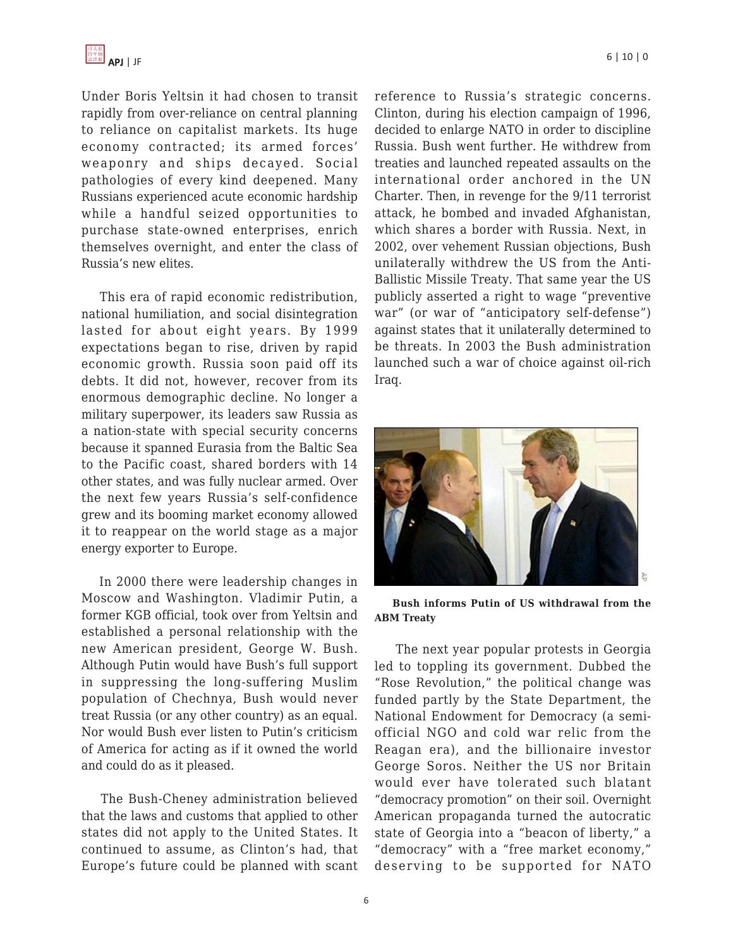

Under Boris Yeltsin it had chosen to transit rapidly from over-reliance on central planning to reliance on capitalist markets. Its huge economy contracted; its armed forces' weaponry and ships decayed. Social pathologies of every kind deepened. Many Russians experienced acute economic hardship while a handful seized opportunities to purchase state-owned enterprises, enrich themselves overnight, and enter the class of Russia's new elites.

 This era of rapid economic redistribution, national humiliation, and social disintegration lasted for about eight years. By 1999 expectations began to rise, driven by rapid economic growth. Russia soon paid off its debts. It did not, however, recover from its enormous demographic decline. No longer a military superpower, its leaders saw Russia as a nation-state with special security concerns because it spanned Eurasia from the Baltic Sea to the Pacific coast, shared borders with 14 other states, and was fully nuclear armed. Over the next few years Russia's self-confidence grew and its booming market economy allowed it to reappear on the world stage as a major energy exporter to Europe.

 In 2000 there were leadership changes in Moscow and Washington. Vladimir Putin, a former KGB official, took over from Yeltsin and established a personal relationship with the new American president, George W. Bush. Although Putin would have Bush's full support in suppressing the long-suffering Muslim population of Chechnya, Bush would never treat Russia (or any other country) as an equal. Nor would Bush ever listen to Putin's criticism of America for acting as if it owned the world and could do as it pleased.

 The Bush-Cheney administration believed that the laws and customs that applied to other states did not apply to the United States. It continued to assume, as Clinton's had, that Europe's future could be planned with scant reference to Russia's strategic concerns. Clinton, during his election campaign of 1996, decided to enlarge NATO in order to discipline Russia. Bush went further. He withdrew from treaties and launched repeated assaults on the international order anchored in the UN Charter. Then, in revenge for the 9/11 terrorist attack, he bombed and invaded Afghanistan, which shares a border with Russia. Next, in 2002, over vehement Russian objections, Bush unilaterally withdrew the US from the Anti-Ballistic Missile Treaty. That same year the US publicly asserted a right to wage "preventive war" (or war of "anticipatory self-defense") against states that it unilaterally determined to be threats. In 2003 the Bush administration launched such a war of choice against oil-rich Iraq.



 **Bush informs Putin of US withdrawal from the ABM Treaty**

 The next year popular protests in Georgia led to toppling its government. Dubbed the "Rose Revolution," the political change was funded partly by the State Department, the National Endowment for Democracy (a semiofficial NGO and cold war relic from the Reagan era), and the billionaire investor George Soros. Neither the US nor Britain would ever have tolerated such blatant "democracy promotion" on their soil. Overnight American propaganda turned the autocratic state of Georgia into a "beacon of liberty," a "democracy" with a "free market economy," deserving to be supported for NATO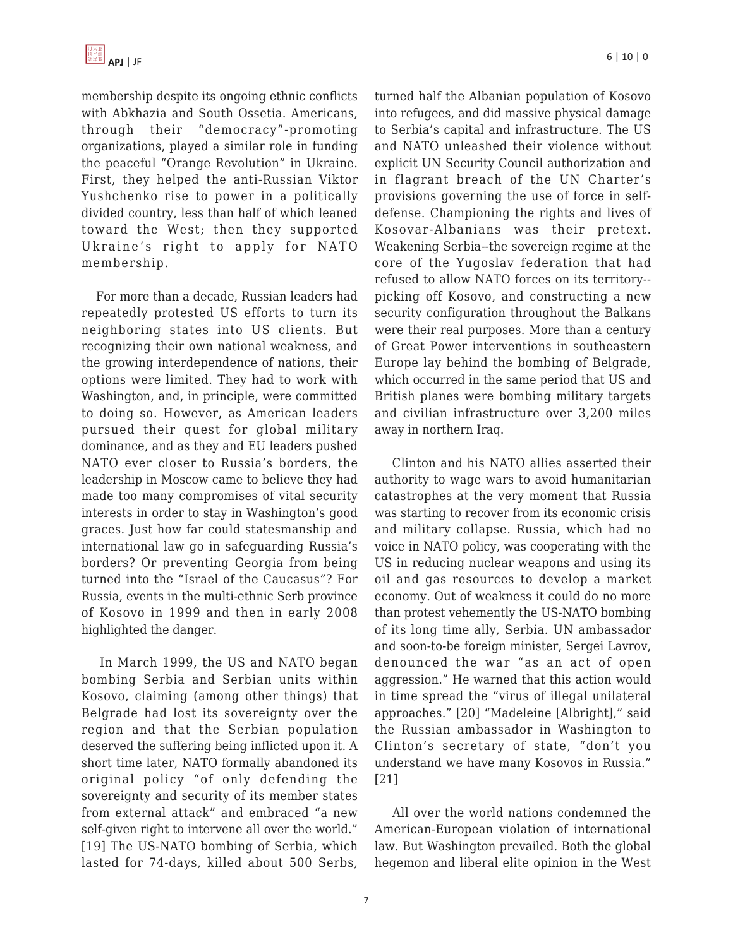membership despite its ongoing ethnic conflicts with Abkhazia and South Ossetia. Americans, through their "democracy"-promoting organizations, played a similar role in funding the peaceful "Orange Revolution" in Ukraine. First, they helped the anti-Russian Viktor Yushchenko rise to power in a politically divided country, less than half of which leaned toward the West; then they supported Ukraine's right to apply for NATO membership.

 For more than a decade, Russian leaders had repeatedly protested US efforts to turn its neighboring states into US clients. But recognizing their own national weakness, and the growing interdependence of nations, their options were limited. They had to work with Washington, and, in principle, were committed to doing so. However, as American leaders pursued their quest for global military dominance, and as they and EU leaders pushed NATO ever closer to Russia's borders, the leadership in Moscow came to believe they had made too many compromises of vital security interests in order to stay in Washington's good graces. Just how far could statesmanship and international law go in safeguarding Russia's borders? Or preventing Georgia from being turned into the "Israel of the Caucasus"? For Russia, events in the multi-ethnic Serb province of Kosovo in 1999 and then in early 2008 highlighted the danger.

 In March 1999, the US and NATO began bombing Serbia and Serbian units within Kosovo, claiming (among other things) that Belgrade had lost its sovereignty over the region and that the Serbian population deserved the suffering being inflicted upon it. A short time later, NATO formally abandoned its original policy "of only defending the sovereignty and security of its member states from external attack" and embraced "a new self-given right to intervene all over the world." [19] The US-NATO bombing of Serbia, which lasted for 74-days, killed about 500 Serbs,

turned half the Albanian population of Kosovo into refugees, and did massive physical damage to Serbia's capital and infrastructure. The US and NATO unleashed their violence without explicit UN Security Council authorization and in flagrant breach of the UN Charter's provisions governing the use of force in selfdefense. Championing the rights and lives of Kosovar-Albanians was their pretext. Weakening Serbia--the sovereign regime at the core of the Yugoslav federation that had refused to allow NATO forces on its territory- picking off Kosovo, and constructing a new security configuration throughout the Balkans were their real purposes. More than a century of Great Power interventions in southeastern Europe lay behind the bombing of Belgrade, which occurred in the same period that US and British planes were bombing military targets and civilian infrastructure over 3,200 miles away in northern Iraq.

 Clinton and his NATO allies asserted their authority to wage wars to avoid humanitarian catastrophes at the very moment that Russia was starting to recover from its economic crisis and military collapse. Russia, which had no voice in NATO policy, was cooperating with the US in reducing nuclear weapons and using its oil and gas resources to develop a market economy. Out of weakness it could do no more than protest vehemently the US-NATO bombing of its long time ally, Serbia. UN ambassador and soon-to-be foreign minister, Sergei Lavrov, denounced the war "as an act of open aggression." He warned that this action would in time spread the "virus of illegal unilateral approaches." [20] "Madeleine [Albright]," said the Russian ambassador in Washington to Clinton's secretary of state, "don't you understand we have many Kosovos in Russia." [21]

 All over the world nations condemned the American-European violation of international law. But Washington prevailed. Both the global hegemon and liberal elite opinion in the West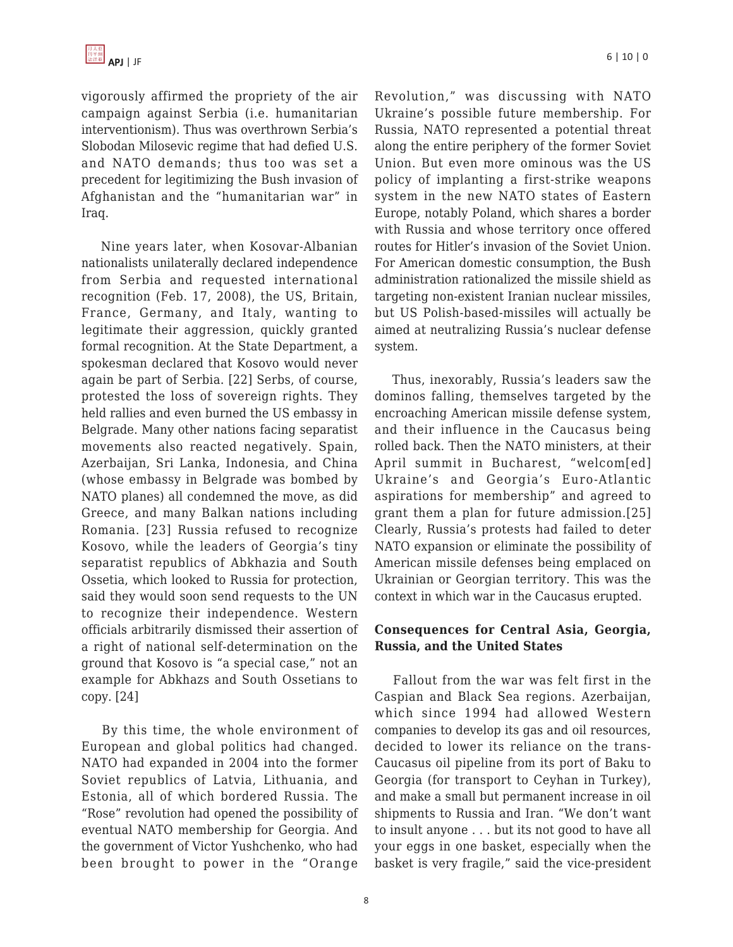vigorously affirmed the propriety of the air campaign against Serbia (i.e. humanitarian interventionism). Thus was overthrown Serbia's Slobodan Milosevic regime that had defied U.S. and NATO demands; thus too was set a precedent for legitimizing the Bush invasion of Afghanistan and the "humanitarian war" in Iraq.

 Nine years later, when Kosovar-Albanian nationalists unilaterally declared independence from Serbia and requested international recognition (Feb. 17, 2008), the US, Britain, France, Germany, and Italy, wanting to legitimate their aggression, quickly granted formal recognition. At the State Department, a spokesman declared that Kosovo would never again be part of Serbia. [22] Serbs, of course, protested the loss of sovereign rights. They held rallies and even burned the US embassy in Belgrade. Many other nations facing separatist movements also reacted negatively. Spain, Azerbaijan, Sri Lanka, Indonesia, and China (whose embassy in Belgrade was bombed by NATO planes) all condemned the move, as did Greece, and many Balkan nations including Romania. [23] Russia refused to recognize Kosovo, while the leaders of Georgia's tiny separatist republics of Abkhazia and South Ossetia, which looked to Russia for protection, said they would soon send requests to the UN to recognize their independence. Western officials arbitrarily dismissed their assertion of a right of national self-determination on the ground that Kosovo is "a special case," not an example for Abkhazs and South Ossetians to copy. [24]

 By this time, the whole environment of European and global politics had changed. NATO had expanded in 2004 into the former Soviet republics of Latvia, Lithuania, and Estonia, all of which bordered Russia. The "Rose" revolution had opened the possibility of eventual NATO membership for Georgia. And the government of Victor Yushchenko, who had been brought to power in the "Orange Revolution," was discussing with NATO Ukraine's possible future membership. For Russia, NATO represented a potential threat along the entire periphery of the former Soviet Union. But even more ominous was the US policy of implanting a first-strike weapons system in the new NATO states of Eastern Europe, notably Poland, which shares a border with Russia and whose territory once offered routes for Hitler's invasion of the Soviet Union. For American domestic consumption, the Bush administration rationalized the missile shield as targeting non-existent Iranian nuclear missiles, but US Polish-based-missiles will actually be aimed at neutralizing Russia's nuclear defense system.

 Thus, inexorably, Russia's leaders saw the dominos falling, themselves targeted by the encroaching American missile defense system, and their influence in the Caucasus being rolled back. Then the NATO ministers, at their April summit in Bucharest, "welcom[ed] Ukraine's and Georgia's Euro-Atlantic aspirations for membership" and agreed to grant them a plan for future admission.[25] Clearly, Russia's protests had failed to deter NATO expansion or eliminate the possibility of American missile defenses being emplaced on Ukrainian or Georgian territory. This was the context in which war in the Caucasus erupted.

## **Consequences for Central Asia, Georgia, Russia, and the United States**

 Fallout from the war was felt first in the Caspian and Black Sea regions. Azerbaijan, which since 1994 had allowed Western companies to develop its gas and oil resources, decided to lower its reliance on the trans-Caucasus oil pipeline from its port of Baku to Georgia (for transport to Ceyhan in Turkey), and make a small but permanent increase in oil shipments to Russia and Iran. "We don't want to insult anyone . . . but its not good to have all your eggs in one basket, especially when the basket is very fragile," said the vice-president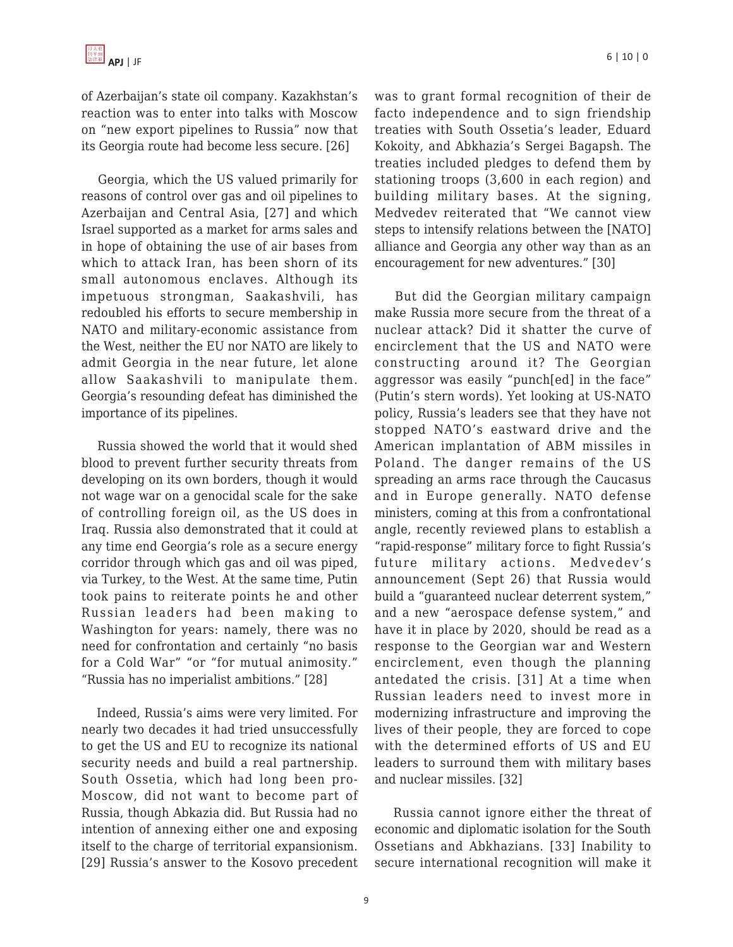of Azerbaijan's state oil company. Kazakhstan's reaction was to enter into talks with Moscow on "new export pipelines to Russia" now that its Georgia route had become less secure. [26]

 Georgia, which the US valued primarily for reasons of control over gas and oil pipelines to Azerbaijan and Central Asia, [27] and which Israel supported as a market for arms sales and in hope of obtaining the use of air bases from which to attack Iran, has been shorn of its small autonomous enclaves. Although its impetuous strongman, Saakashvili, has redoubled his efforts to secure membership in NATO and military-economic assistance from the West, neither the EU nor NATO are likely to admit Georgia in the near future, let alone allow Saakashvili to manipulate them. Georgia's resounding defeat has diminished the importance of its pipelines.

 Russia showed the world that it would shed blood to prevent further security threats from developing on its own borders, though it would not wage war on a genocidal scale for the sake of controlling foreign oil, as the US does in Iraq. Russia also demonstrated that it could at any time end Georgia's role as a secure energy corridor through which gas and oil was piped, via Turkey, to the West. At the same time, Putin took pains to reiterate points he and other Russian leaders had been making to Washington for years: namely, there was no need for confrontation and certainly "no basis for a Cold War" "or "for mutual animosity." "Russia has no imperialist ambitions." [28]

 Indeed, Russia's aims were very limited. For nearly two decades it had tried unsuccessfully to get the US and EU to recognize its national security needs and build a real partnership. South Ossetia, which had long been pro-Moscow, did not want to become part of Russia, though Abkazia did. But Russia had no intention of annexing either one and exposing itself to the charge of territorial expansionism. [29] Russia's answer to the Kosovo precedent was to grant formal recognition of their de facto independence and to sign friendship treaties with South Ossetia's leader, Eduard Kokoity, and Abkhazia's Sergei Bagapsh. The treaties included pledges to defend them by stationing troops (3,600 in each region) and building military bases. At the signing, Medvedev reiterated that "We cannot view steps to intensify relations between the [NATO] alliance and Georgia any other way than as an encouragement for new adventures." [30]

 But did the Georgian military campaign make Russia more secure from the threat of a nuclear attack? Did it shatter the curve of encirclement that the US and NATO were constructing around it? The Georgian aggressor was easily "punch[ed] in the face" (Putin's stern words). Yet looking at US-NATO policy, Russia's leaders see that they have not stopped NATO's eastward drive and the American implantation of ABM missiles in Poland. The danger remains of the US spreading an arms race through the Caucasus and in Europe generally. NATO defense ministers, coming at this from a confrontational angle, recently reviewed plans to establish a "rapid-response" military force to fight Russia's future military actions. Medvedev's announcement (Sept 26) that Russia would build a "guaranteed nuclear deterrent system," and a new "aerospace defense system," and have it in place by 2020, should be read as a response to the Georgian war and Western encirclement, even though the planning antedated the crisis. [31] At a time when Russian leaders need to invest more in modernizing infrastructure and improving the lives of their people, they are forced to cope with the determined efforts of US and EU leaders to surround them with military bases and nuclear missiles. [32]

 Russia cannot ignore either the threat of economic and diplomatic isolation for the South Ossetians and Abkhazians. [33] Inability to secure international recognition will make it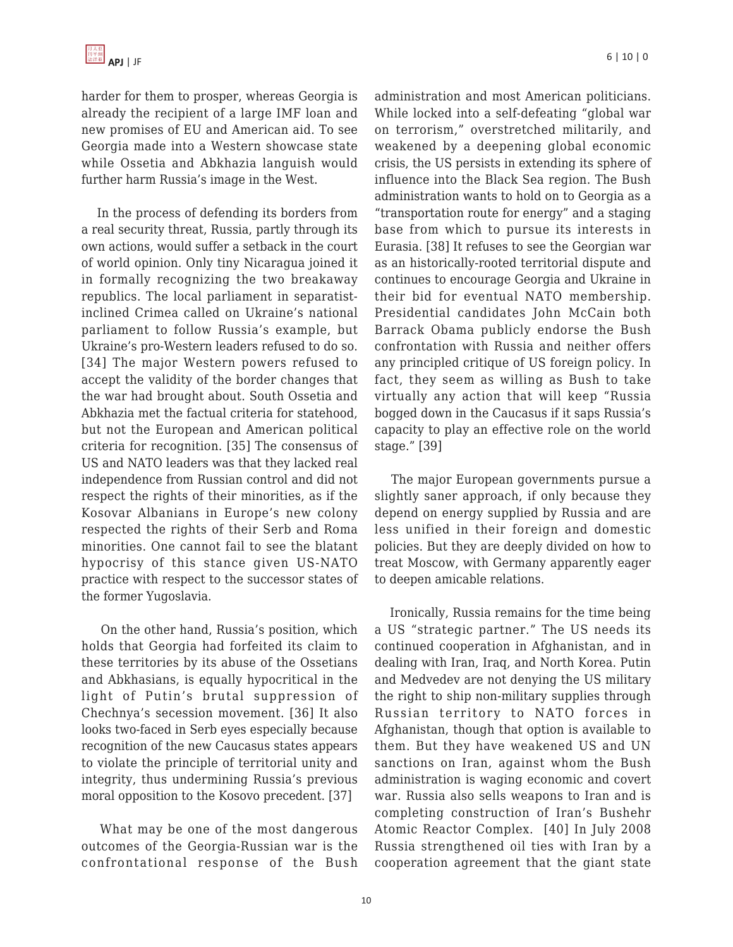harder for them to prosper, whereas Georgia is already the recipient of a large IMF loan and new promises of EU and American aid. To see Georgia made into a Western showcase state while Ossetia and Abkhazia languish would further harm Russia's image in the West.

 In the process of defending its borders from a real security threat, Russia, partly through its own actions, would suffer a setback in the court of world opinion. Only tiny Nicaragua joined it in formally recognizing the two breakaway republics. The local parliament in separatistinclined Crimea called on Ukraine's national parliament to follow Russia's example, but Ukraine's pro-Western leaders refused to do so. [34] The major Western powers refused to accept the validity of the border changes that the war had brought about. South Ossetia and Abkhazia met the factual criteria for statehood, but not the European and American political criteria for recognition. [35] The consensus of US and NATO leaders was that they lacked real independence from Russian control and did not respect the rights of their minorities, as if the Kosovar Albanians in Europe's new colony respected the rights of their Serb and Roma minorities. One cannot fail to see the blatant hypocrisy of this stance given US-NATO practice with respect to the successor states of the former Yugoslavia.

 On the other hand, Russia's position, which holds that Georgia had forfeited its claim to these territories by its abuse of the Ossetians and Abkhasians, is equally hypocritical in the light of Putin's brutal suppression of Chechnya's secession movement. [36] It also looks two-faced in Serb eyes especially because recognition of the new Caucasus states appears to violate the principle of territorial unity and integrity, thus undermining Russia's previous moral opposition to the Kosovo precedent. [37]

 What may be one of the most dangerous outcomes of the Georgia-Russian war is the confrontational response of the Bush administration and most American politicians. While locked into a self-defeating "global war on terrorism," overstretched militarily, and weakened by a deepening global economic crisis, the US persists in extending its sphere of influence into the Black Sea region. The Bush administration wants to hold on to Georgia as a "transportation route for energy" and a staging base from which to pursue its interests in Eurasia. [38] It refuses to see the Georgian war as an historically-rooted territorial dispute and continues to encourage Georgia and Ukraine in their bid for eventual NATO membership. Presidential candidates John McCain both Barrack Obama publicly endorse the Bush confrontation with Russia and neither offers any principled critique of US foreign policy. In fact, they seem as willing as Bush to take virtually any action that will keep "Russia bogged down in the Caucasus if it saps Russia's capacity to play an effective role on the world stage." [39]

 The major European governments pursue a slightly saner approach, if only because they depend on energy supplied by Russia and are less unified in their foreign and domestic policies. But they are deeply divided on how to treat Moscow, with Germany apparently eager to deepen amicable relations.

 Ironically, Russia remains for the time being a US "strategic partner." The US needs its continued cooperation in Afghanistan, and in dealing with Iran, Iraq, and North Korea. Putin and Medvedev are not denying the US military the right to ship non-military supplies through Russian territory to NATO forces in Afghanistan, though that option is available to them. But they have weakened US and UN sanctions on Iran, against whom the Bush administration is waging economic and covert war. Russia also sells weapons to Iran and is completing construction of Iran's Bushehr Atomic Reactor Complex. [40] In July 2008 Russia strengthened oil ties with Iran by a cooperation agreement that the giant state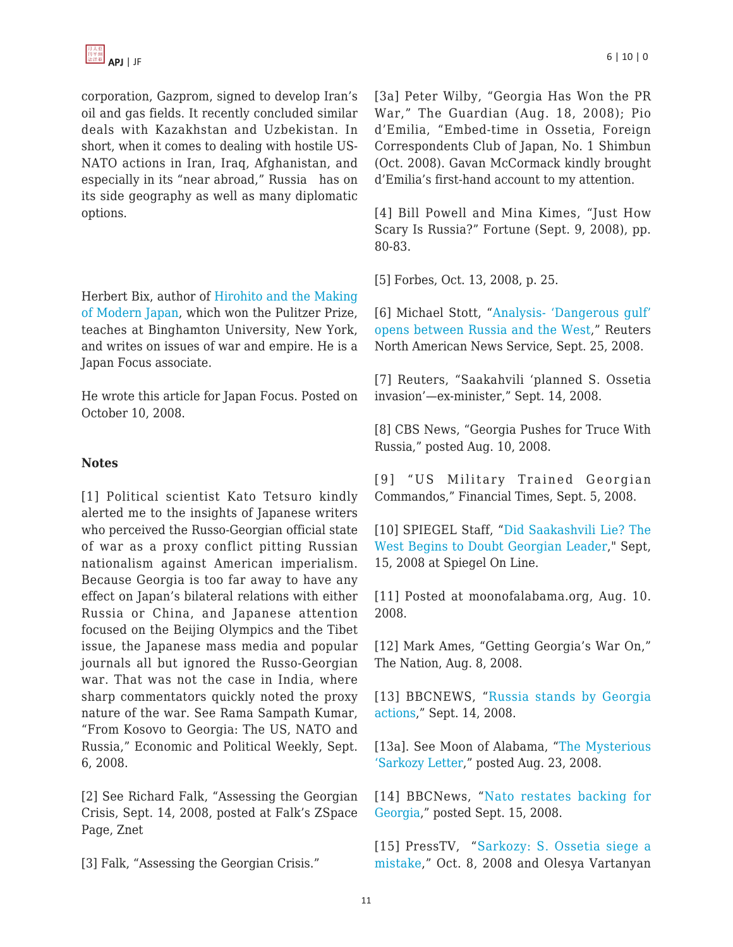corporation, Gazprom, signed to develop Iran's oil and gas fields. It recently concluded similar deals with Kazakhstan and Uzbekistan. In short, when it comes to dealing with hostile US-NATO actions in Iran, Iraq, Afghanistan, and especially in its "near abroad," Russia has on its side geography as well as many diplomatic options.

Herbert Bix, author of [Hirohito and the Making](http://www.amazon.com/Hirohito-Making-Modern-Japan-Herbert/dp/0060931302/ref=sr_1_1?ie=UTF8&s=books&qid=1223657855&sr=8-1) [of Modern Japan](http://www.amazon.com/Hirohito-Making-Modern-Japan-Herbert/dp/0060931302/ref=sr_1_1?ie=UTF8&s=books&qid=1223657855&sr=8-1), which won the Pulitzer Prize, teaches at Binghamton University, New York, and writes on issues of war and empire. He is a Japan Focus associate.

He wrote this article for Japan Focus. Posted on October 10, 2008.

## **Notes**

[1] Political scientist Kato Tetsuro kindly alerted me to the insights of Japanese writers who perceived the Russo-Georgian official state of war as a proxy conflict pitting Russian nationalism against American imperialism. Because Georgia is too far away to have any effect on Japan's bilateral relations with either Russia or China, and Japanese attention focused on the Beijing Olympics and the Tibet issue, the Japanese mass media and popular journals all but ignored the Russo-Georgian war. That was not the case in India, where sharp commentators quickly noted the proxy nature of the war. See Rama Sampath Kumar, "From Kosovo to Georgia: The US, NATO and Russia," Economic and Political Weekly, Sept. 6, 2008.

[2] See Richard Falk, "Assessing the Georgian Crisis, Sept. 14, 2008, posted at Falk's ZSpace Page, Znet

[3] Falk, "Assessing the Georgian Crisis."

[3a] Peter Wilby, "Georgia Has Won the PR War," The Guardian (Aug. 18, 2008); Pio d'Emilia, "Embed-time in Ossetia, Foreign Correspondents Club of Japan, No. 1 Shimbun (Oct. 2008). Gavan McCormack kindly brought d'Emilia's first-hand account to my attention.

[4] Bill Powell and Mina Kimes, "Just How Scary Is Russia?" Fortune (Sept. 9, 2008), pp. 80-83.

[5] Forbes, Oct. 13, 2008, p. 25.

[6] Michael Stott, "[Analysis- 'Dangerous gulf'](http://wiredispatch.com/news/?id=375644) [opens between Russia and the West,](http://wiredispatch.com/news/?id=375644)" Reuters North American News Service, Sept. 25, 2008.

[7] Reuters, "Saakahvili 'planned S. Ossetia invasion'—ex-minister," Sept. 14, 2008.

[8] CBS News, "Georgia Pushes for Truce With Russia," posted Aug. 10, 2008.

[9] "US Military Trained Georgian Commandos," Financial Times, Sept. 5, 2008.

[10] SPIEGEL Staff, "[Did Saakashvili Lie? The](http://www.spiegel .de/international/world/0,1518,druck-578273,00.htm) [West Begins to Doubt Georgian Leader](http://www.spiegel .de/international/world/0,1518,druck-578273,00.htm)," Sept, 15, 2008 at Spiegel On Line.

[11] Posted at moonofalabama.org, Aug. 10. 2008.

[12] Mark Ames, "Getting Georgia's War On," The Nation, Aug. 8, 2008.

[13] BBCNEWS, "[Russia stands by Georgia](http://news.bbc.co.uk/go/pr/fr/-/europe/7615734.stm) [actions](http://news.bbc.co.uk/go/pr/fr/-/europe/7615734.stm)," Sept. 14, 2008.

[13a]. See Moon of Alabama, "[The Mysterious](http://www.moonofalabama.org/2008/08/the-mysterious.html) ['Sarkozy Letter,](http://www.moonofalabama.org/2008/08/the-mysterious.html)" posted Aug. 23, 2008.

[14] BBCNews, "[Nato restates backing for](http://news.bbc.co.uk/go/pr/fr/-/2/hi/europe/7616576.stm) [Georgia](http://news.bbc.co.uk/go/pr/fr/-/2/hi/europe/7616576.stm)," posted Sept. 15, 2008.

[15] PressTV, "[Sarkozy: S. Ossetia siege a](http://www.presstv.ir/detail.aspx?id=71650§ionid=351020603) [mistake](http://www.presstv.ir/detail.aspx?id=71650§ionid=351020603)," Oct. 8, 2008 and Olesya Vartanyan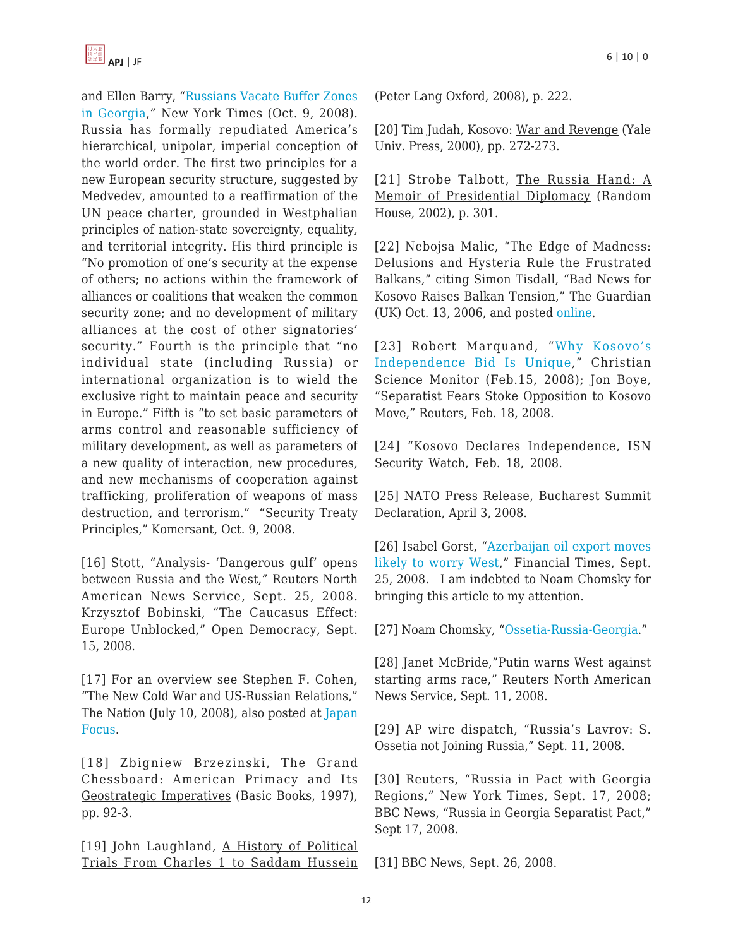and Ellen Barry, "[Russians Vacate Buffer Zones](http://www.nytimes.com/2008/10/09/world/europe/09georgia.html?_r=1&th=&oref=slogin&emc=th&pagewanted=print) [in Georgia](http://www.nytimes.com/2008/10/09/world/europe/09georgia.html?_r=1&th=&oref=slogin&emc=th&pagewanted=print)," New York Times (Oct. 9, 2008). Russia has formally repudiated America's hierarchical, unipolar, imperial conception of the world order. The first two principles for a new European security structure, suggested by Medvedev, amounted to a reaffirmation of the UN peace charter, grounded in Westphalian principles of nation-state sovereignty, equality, and territorial integrity. His third principle is "No promotion of one's security at the expense of others; no actions within the framework of alliances or coalitions that weaken the common security zone; and no development of military alliances at the cost of other signatories' security." Fourth is the principle that "no individual state (including Russia) or international organization is to wield the exclusive right to maintain peace and security in Europe." Fifth is "to set basic parameters of arms control and reasonable sufficiency of military development, as well as parameters of a new quality of interaction, new procedures, and new mechanisms of cooperation against trafficking, proliferation of weapons of mass destruction, and terrorism." "Security Treaty Principles," Komersant, Oct. 9, 2008.

[16] Stott, "Analysis- 'Dangerous gulf' opens between Russia and the West," Reuters North American News Service, Sept. 25, 2008. Krzysztof Bobinski, "The Caucasus Effect: Europe Unblocked," Open Democracy, Sept. 15, 2008.

[17] For an overview see Stephen F. Cohen, "The New Cold War and US-Russian Relations," The Nation (July 10, 2008), also posted at [Japan](https://apjjf.org/products/details/2283) [Focus](https://apjjf.org/products/details/2283).

[18] Zbigniew Brzezinski, The Grand Chessboard: American Primacy and Its Geostrategic Imperatives (Basic Books, 1997), pp. 92-3.

[19] John Laughland, A History of Political Trials From Charles 1 to Saddam Hussein (Peter Lang Oxford, 2008), p. 222.

[20] Tim Judah, Kosovo: War and Revenge (Yale Univ. Press, 2000), pp. 272-273.

[21] Strobe Talbott, The Russia Hand: A Memoir of Presidential Diplomacy (Random House, 2002), p. 301.

[22] Nebojsa Malic, "The Edge of Madness: Delusions and Hysteria Rule the Frustrated Balkans," citing Simon Tisdall, "Bad News for Kosovo Raises Balkan Tension," The Guardian (UK) Oct. 13, 2006, and posted [online.](http://www.antiwar.com/malic/?articleid=9884)

[23] Robert Marquand, "[Why Kosovo's](http://www.printthis.clickability.com/pt/cpt?action=cpt&title=Why+Kâ€¦ww.csmonitor.com%2F2008%2F0215%2Fp07s01-woeu.html&partnerID=309791) [Independence Bid Is Unique,](http://www.printthis.clickability.com/pt/cpt?action=cpt&title=Why+Kâ€¦ww.csmonitor.com%2F2008%2F0215%2Fp07s01-woeu.html&partnerID=309791)" Christian Science Monitor (Feb.15, 2008); Jon Boye, "Separatist Fears Stoke Opposition to Kosovo Move," Reuters, Feb. 18, 2008.

[24] "Kosovo Declares Independence, ISN Security Watch, Feb. 18, 2008.

[25] NATO Press Release, Bucharest Summit Declaration, April 3, 2008.

[26] Isabel Gorst, ["Azerbaijan oil export moves](http://www.ft.com/cms/s/0/79847c9a-8a9a-11dd-a76a-0000779fd18c.html>http://www.ft.com/cms/s/0/79847c9a-8a9a-11dd-a76a-0000779fd18c.html) [likely to worry West](http://www.ft.com/cms/s/0/79847c9a-8a9a-11dd-a76a-0000779fd18c.html>http://www.ft.com/cms/s/0/79847c9a-8a9a-11dd-a76a-0000779fd18c.html)," Financial Times, Sept. 25, 2008. I am indebted to Noam Chomsky for bringing this article to my attention.

[27] Noam Chomsky, "[Ossetia-Russia-Georgia](http://www.chomsky.info/articles/200809-2.htm)."

[28] Janet McBride,"Putin warns West against starting arms race," Reuters North American News Service, Sept. 11, 2008.

[29] AP wire dispatch, "Russia's Lavrov: S. Ossetia not Joining Russia," Sept. 11, 2008.

[30] Reuters, "Russia in Pact with Georgia Regions," New York Times, Sept. 17, 2008; BBC News, "Russia in Georgia Separatist Pact," Sept 17, 2008.

[31] BBC News, Sept. 26, 2008.